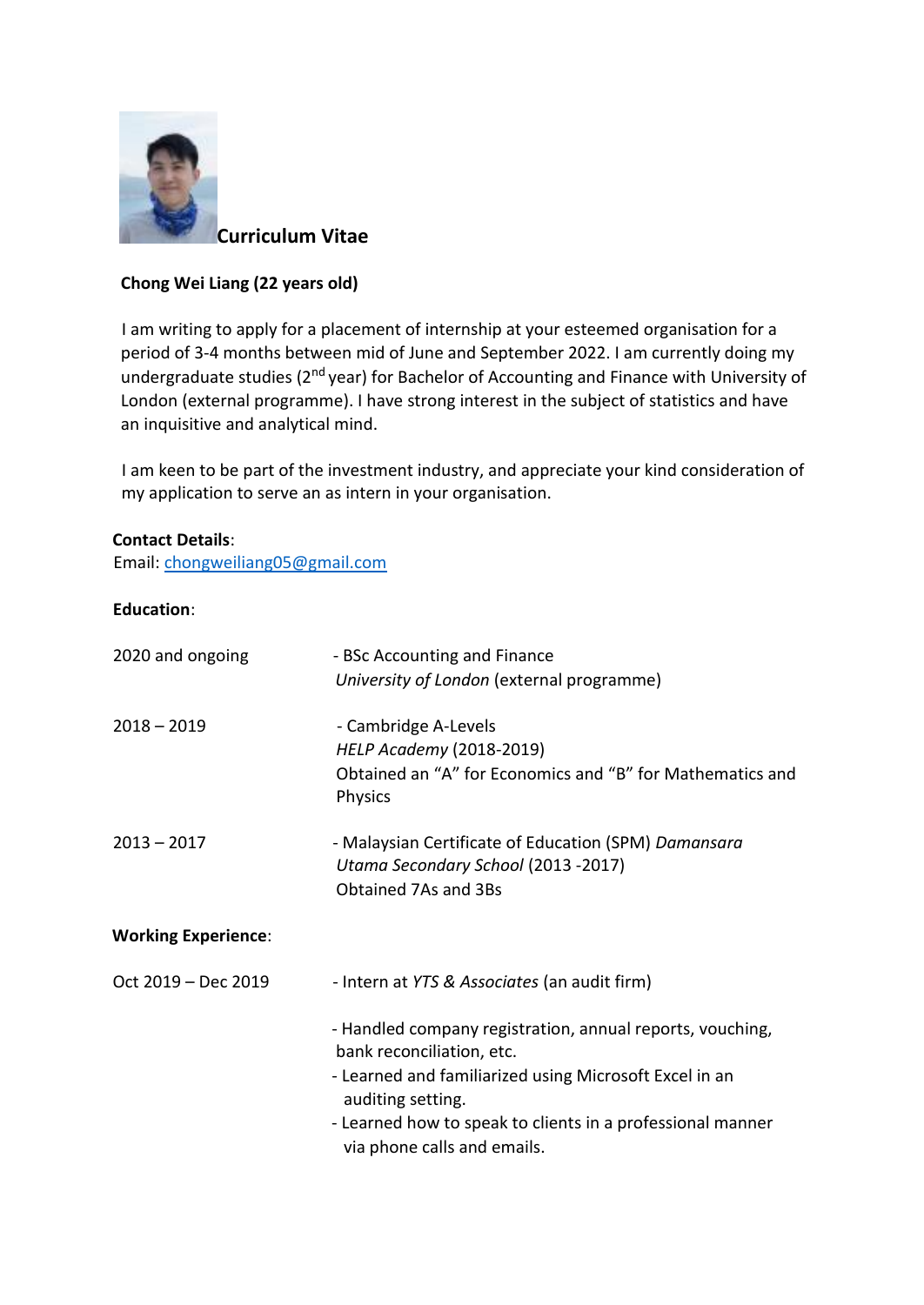

**Curriculum Vitae** 

## **Chong Wei Liang (22 years old)**

I am writing to apply for a placement of internship at your esteemed organisation for a period of 3-4 months between mid of June and September 2022. I am currently doing my undergraduate studies (2nd year) for Bachelor of Accounting and Finance with University of London (external programme). I have strong interest in the subject of statistics and have an inquisitive and analytical mind.

I am keen to be part of the investment industry, and appreciate your kind consideration of my application to serve an as intern in your organisation.

## **Contact Details**:

Email: chongweiliang05@gmail.com

## **Education**:

| 2020 and ongoing           | - BSc Accounting and Finance<br>University of London (external programme)                                                                                                                                                                                          |
|----------------------------|--------------------------------------------------------------------------------------------------------------------------------------------------------------------------------------------------------------------------------------------------------------------|
| $2018 - 2019$              | - Cambridge A-Levels<br><b>HELP Academy (2018-2019)</b><br>Obtained an "A" for Economics and "B" for Mathematics and<br>Physics                                                                                                                                    |
| $2013 - 2017$              | - Malaysian Certificate of Education (SPM) Damansara<br>Utama Secondary School (2013 -2017)<br>Obtained 7As and 3Bs                                                                                                                                                |
| <b>Working Experience:</b> |                                                                                                                                                                                                                                                                    |
| Oct 2019 - Dec 2019        | - Intern at YTS & Associates (an audit firm)                                                                                                                                                                                                                       |
|                            | - Handled company registration, annual reports, vouching,<br>bank reconciliation, etc.<br>- Learned and familiarized using Microsoft Excel in an<br>auditing setting.<br>- Learned how to speak to clients in a professional manner<br>via phone calls and emails. |